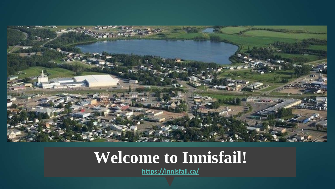

#### **Welcome to Innisfail!**

**<https://innisfail.ca/>**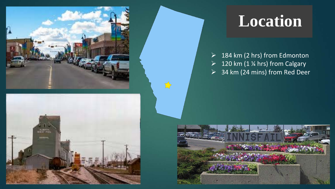



### **Location**

 $\triangleright$  184 km (2 hrs) from Edmonton  $\geq 120$  km (1 % hrs) from Calgary  $\geq$  34 km (24 mins) from Red Deer

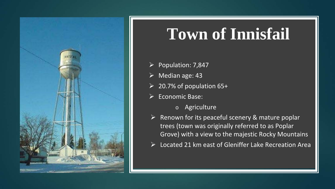

#### **Town of Innisfail**

- $\triangleright$  Population: 7,847
- $\triangleright$  Median age: 43
- $\geq 20.7\%$  of population 65+
- $\triangleright$  Economic Base:
	- o Agriculture
- $\triangleright$  Renown for its peaceful scenery & mature poplar trees (town was originally referred to as Poplar Grove) with a view to the majestic Rocky Mountains
- $\triangleright$  Located 21 km east of Gleniffer Lake Recreation Area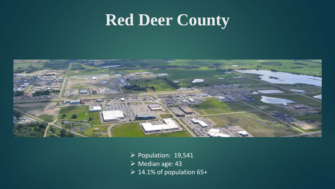#### **Red Deer County**



- $\triangleright$  Population: 19,541
- $\triangleright$  Median age: 43
- $\geq 14.1\%$  of population 65+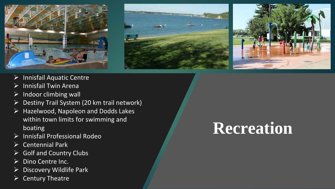





- $\triangleright$  Innisfail Aquatic Centre
- $\triangleright$  Innisfail Twin Arena
- $\triangleright$  Indoor climbing wall
- $\triangleright$  Destiny Trail System (20 km trail network)
- $\triangleright$  Hazelwood, Napoleon and Dodds Lakes within town limits for swimming and boating
- $\triangleright$  Innisfail Professional Rodeo
- $\triangleright$  Centennial Park
- $\triangleright$  Golf and Country Clubs
- $\triangleright$  Dino Centre Inc.
- $\triangleright$  Discovery Wildlife Park
- $\triangleright$  Century Theatre

# **Recreation**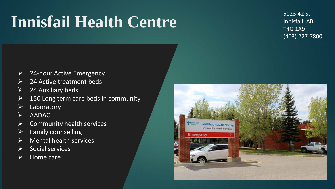## **Innisfail Health Centre**

5023 42 St Innisfail, AB T4G 1A9 (403) 227-7800

- $\triangleright$  24-hour Active Emergency
- $\triangleright$  24 Active treatment beds
- $\geq$  24 Auxiliary beds
- $\geq$  150 Long term care beds in community
- $\triangleright$  Laboratory
- $\triangleright$  AADAC
- $\triangleright$  Community health services
- $\triangleright$  Family counselling
- $\triangleright$  Mental health services
- $\triangleright$  Social services
- $\triangleright$  Home care